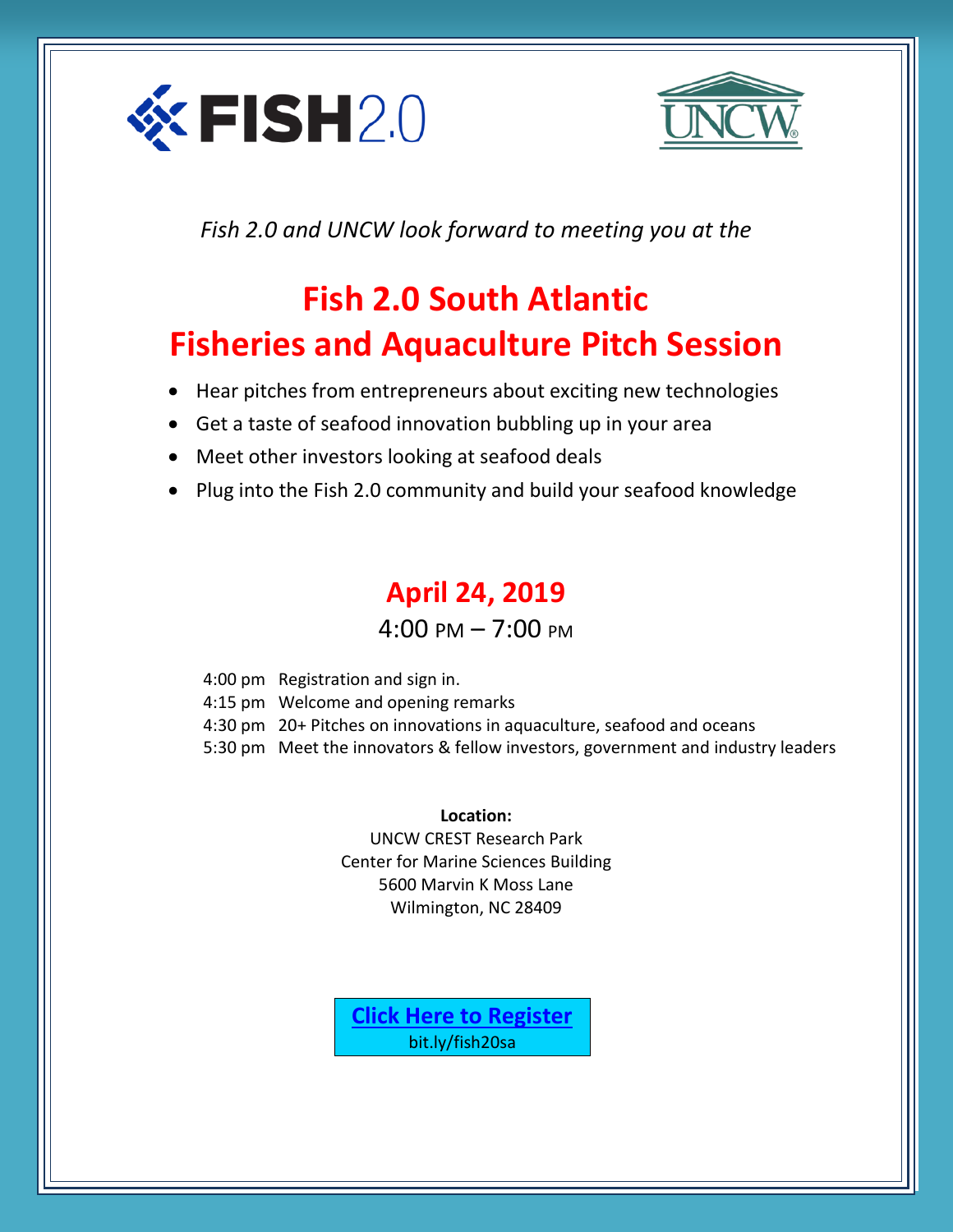



*Fish 2.0 and UNCW look forward to meeting you at the*

## **Fish 2.0 South Atlantic Fisheries and Aquaculture Pitch Session**

- Hear pitches from entrepreneurs about exciting new technologies
- Get a taste of seafood innovation bubbling up in your area
- Meet other investors looking at seafood deals
- Plug into the Fish 2.0 community and build your seafood knowledge

## **April 24, 2019**  $4:00 \text{ PM} - 7:00 \text{ PM}$

| 4:00 pm Registration and sign in.                                               |
|---------------------------------------------------------------------------------|
| 4:15 pm Welcome and opening remarks                                             |
| 4:30 pm 20+ Pitches on innovations in aquaculture, seafood and oceans           |
| 5:30 pm Meet the innovators & fellow investors, government and industry leaders |
|                                                                                 |

**Location:** UNCW CREST Research Park Center for Marine Sciences Building 5600 Marvin K Moss Lane Wilmington, NC 28409

**[Click Here to Register](http://bit.ly/fish20sa)** bit.ly/fish20sa